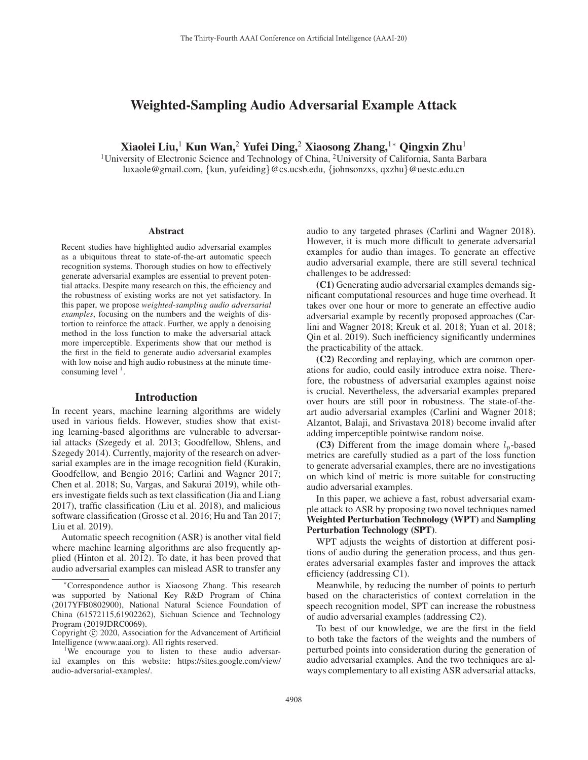# Weighted-Sampling Audio Adversarial Example Attack

Xiaolei Liu,<sup>1</sup> Kun Wan,<sup>2</sup> Yufei Ding,<sup>2</sup> Xiaosong Zhang,<sup>1</sup>\* Qingxin Zhu<sup>1</sup>

1University of Electronic Science and Technology of China, 2University of California, Santa Barbara luxaole@gmail.com, {kun, yufeiding}@cs.ucsb.edu, {johnsonzxs, qxzhu}@uestc.edu.cn

#### Abstract

Recent studies have highlighted audio adversarial examples as a ubiquitous threat to state-of-the-art automatic speech recognition systems. Thorough studies on how to effectively generate adversarial examples are essential to prevent potential attacks. Despite many research on this, the efficiency and the robustness of existing works are not yet satisfactory. In this paper, we propose *weighted-sampling audio adversarial examples*, focusing on the numbers and the weights of distortion to reinforce the attack. Further, we apply a denoising method in the loss function to make the adversarial attack more imperceptible. Experiments show that our method is the first in the field to generate audio adversarial examples with low noise and high audio robustness at the minute timeconsuming level  $<sup>1</sup>$ .</sup>

#### Introduction

In recent years, machine learning algorithms are widely used in various fields. However, studies show that existing learning-based algorithms are vulnerable to adversarial attacks (Szegedy et al. 2013; Goodfellow, Shlens, and Szegedy 2014). Currently, majority of the research on adversarial examples are in the image recognition field (Kurakin, Goodfellow, and Bengio 2016; Carlini and Wagner 2017; Chen et al. 2018; Su, Vargas, and Sakurai 2019), while others investigate fields such as text classification (Jia and Liang 2017), traffic classification (Liu et al. 2018), and malicious software classification (Grosse et al. 2016; Hu and Tan 2017; Liu et al. 2019).

Automatic speech recognition (ASR) is another vital field where machine learning algorithms are also frequently applied (Hinton et al. 2012). To date, it has been proved that audio adversarial examples can mislead ASR to transfer any audio to any targeted phrases (Carlini and Wagner 2018). However, it is much more difficult to generate adversarial examples for audio than images. To generate an effective audio adversarial example, there are still several technical challenges to be addressed:

(C1) Generating audio adversarial examples demands significant computational resources and huge time overhead. It takes over one hour or more to generate an effective audio adversarial example by recently proposed approaches (Carlini and Wagner 2018; Kreuk et al. 2018; Yuan et al. 2018; Qin et al. 2019). Such inefficiency significantly undermines the practicability of the attack.

(C2) Recording and replaying, which are common operations for audio, could easily introduce extra noise. Therefore, the robustness of adversarial examples against noise is crucial. Nevertheless, the adversarial examples prepared over hours are still poor in robustness. The state-of-theart audio adversarial examples (Carlini and Wagner 2018; Alzantot, Balaji, and Srivastava 2018) become invalid after adding imperceptible pointwise random noise.

(C3) Different from the image domain where  $l_p$ -based metrics are carefully studied as a part of the loss function to generate adversarial examples, there are no investigations on which kind of metric is more suitable for constructing audio adversarial examples.

In this paper, we achieve a fast, robust adversarial example attack to ASR by proposing two novel techniques named Weighted Perturbation Technology (WPT) and Sampling Perturbation Technology (SPT).

WPT adjusts the weights of distortion at different positions of audio during the generation process, and thus generates adversarial examples faster and improves the attack efficiency (addressing C1).

Meanwhile, by reducing the number of points to perturb based on the characteristics of context correlation in the speech recognition model, SPT can increase the robustness of audio adversarial examples (addressing C2).

To best of our knowledge, we are the first in the field to both take the factors of the weights and the numbers of perturbed points into consideration during the generation of audio adversarial examples. And the two techniques are always complementary to all existing ASR adversarial attacks,

<sup>∗</sup>Correspondence author is Xiaosong Zhang. This research was supported by National Key R&D Program of China (2017YFB0802900), National Natural Science Foundation of China (61572115,61902262), Sichuan Science and Technology Program (2019JDRC0069).

Copyright  $\odot$  2020, Association for the Advancement of Artificial Intelligence (www.aaai.org). All rights reserved.

<sup>&</sup>lt;sup>1</sup>We encourage you to listen to these audio adversarial examples on this website: https://sites.google.com/view/ audio-adversarial-examples/.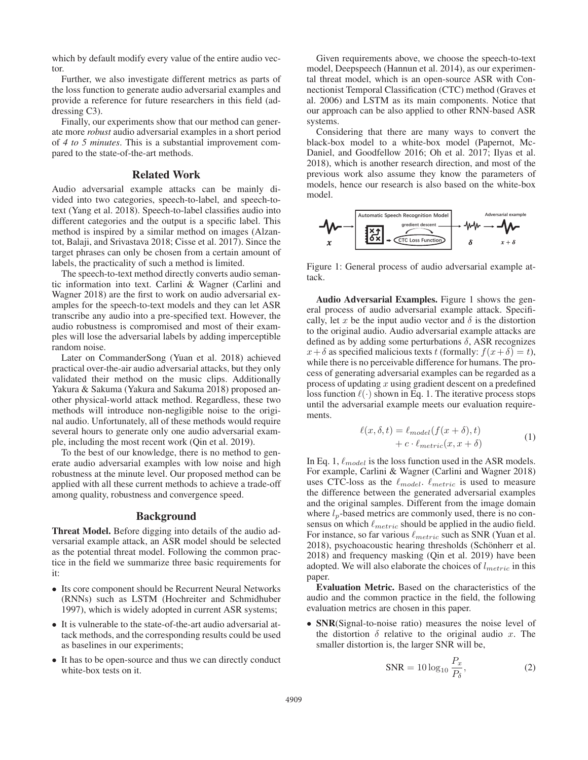which by default modify every value of the entire audio vector.

Further, we also investigate different metrics as parts of the loss function to generate audio adversarial examples and provide a reference for future researchers in this field (addressing C3).

Finally, our experiments show that our method can generate more *robust* audio adversarial examples in a short period of *4 to 5 minutes*. This is a substantial improvement compared to the state-of-the-art methods.

## Related Work

Audio adversarial example attacks can be mainly divided into two categories, speech-to-label, and speech-totext (Yang et al. 2018). Speech-to-label classifies audio into different categories and the output is a specific label. This method is inspired by a similar method on images (Alzantot, Balaji, and Srivastava 2018; Cisse et al. 2017). Since the target phrases can only be chosen from a certain amount of labels, the practicality of such a method is limited.

The speech-to-text method directly converts audio semantic information into text. Carlini & Wagner (Carlini and Wagner 2018) are the first to work on audio adversarial examples for the speech-to-text models and they can let ASR transcribe any audio into a pre-specified text. However, the audio robustness is compromised and most of their examples will lose the adversarial labels by adding imperceptible random noise.

Later on CommanderSong (Yuan et al. 2018) achieved practical over-the-air audio adversarial attacks, but they only validated their method on the music clips. Additionally Yakura & Sakuma (Yakura and Sakuma 2018) proposed another physical-world attack method. Regardless, these two methods will introduce non-negligible noise to the original audio. Unfortunately, all of these methods would require several hours to generate only one audio adversarial example, including the most recent work (Qin et al. 2019).

To the best of our knowledge, there is no method to generate audio adversarial examples with low noise and high robustness at the minute level. Our proposed method can be applied with all these current methods to achieve a trade-off among quality, robustness and convergence speed.

# Background

Threat Model. Before digging into details of the audio adversarial example attack, an ASR model should be selected as the potential threat model. Following the common practice in the field we summarize three basic requirements for it:

- Its core component should be Recurrent Neural Networks (RNNs) such as LSTM (Hochreiter and Schmidhuber 1997), which is widely adopted in current ASR systems;
- It is vulnerable to the state-of-the-art audio adversarial attack methods, and the corresponding results could be used as baselines in our experiments;
- It has to be open-source and thus we can directly conduct white-box tests on it.

Given requirements above, we choose the speech-to-text model, Deepspeech (Hannun et al. 2014), as our experimental threat model, which is an open-source ASR with Connectionist Temporal Classification (CTC) method (Graves et al. 2006) and LSTM as its main components. Notice that our approach can be also applied to other RNN-based ASR systems.

Considering that there are many ways to convert the black-box model to a white-box model (Papernot, Mc-Daniel, and Goodfellow 2016; Oh et al. 2017; Ilyas et al. 2018), which is another research direction, and most of the previous work also assume they know the parameters of models, hence our research is also based on the white-box model.



Figure 1: General process of audio adversarial example attack.

Audio Adversarial Examples. Figure 1 shows the general process of audio adversarial example attack. Specifically, let x be the input audio vector and  $\delta$  is the distortion to the original audio. Audio adversarial example attacks are defined as by adding some perturbations  $\delta$ , ASR recognizes  $x+\delta$  as specified malicious texts t (formally:  $f(x+\delta) = t$ ), while there is no perceivable difference for humans. The process of generating adversarial examples can be regarded as a process of updating  $x$  using gradient descent on a predefined loss function  $\ell(\cdot)$  shown in Eq. 1. The iterative process stops until the adversarial example meets our evaluation requirements.

$$
\ell(x,\delta,t) = \ell_{model}(f(x+\delta),t) + c \cdot \ell_{metric}(x,x+\delta)
$$
 (1)

In Eq. 1,  $\ell_{model}$  is the loss function used in the ASR models. For example, Carlini & Wagner (Carlini and Wagner 2018) uses CTC-loss as the  $\ell_{model}$ .  $\ell_{metric}$  is used to measure the difference between the generated adversarial examples and the original samples. Different from the image domain where  $l_p$ -based metrics are commonly used, there is no consensus on which  $\ell_{metric}$  should be applied in the audio field. For instance, so far various  $\ell_{metric}$  such as SNR (Yuan et al. 2018), psychoacoustic hearing thresholds (Schönherr et al. 2018) and frequency masking (Qin et al. 2019) have been adopted. We will also elaborate the choices of  $l_{metric}$  in this paper.

Evaluation Metric. Based on the characteristics of the audio and the common practice in the field, the following evaluation metrics are chosen in this paper.

• SNR(Signal-to-noise ratio) measures the noise level of the distortion  $\delta$  relative to the original audio x. The smaller distortion is, the larger SNR will be,

$$
SNR = 10 \log_{10} \frac{P_x}{P_\delta},\tag{2}
$$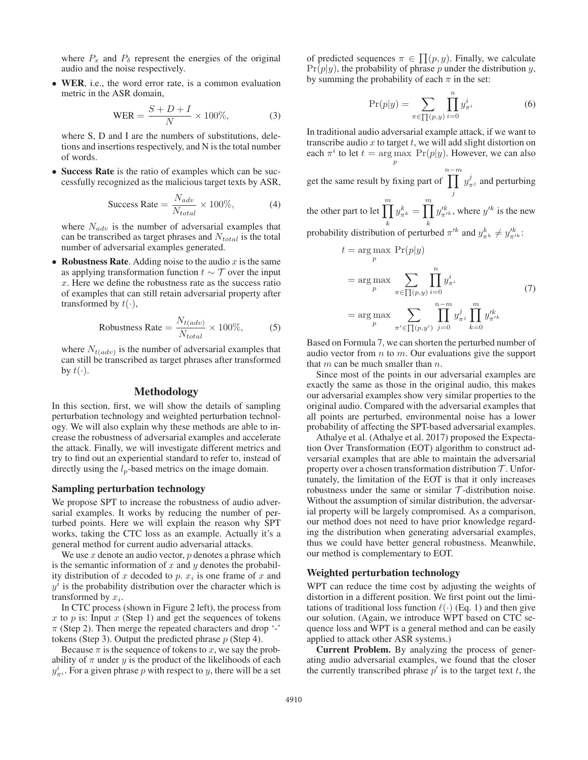where  $P_x$  and  $P_\delta$  represent the energies of the original audio and the noise respectively.

• WER, i.e., the word error rate, is a common evaluation metric in the ASR domain,

$$
WER = \frac{S + D + I}{N} \times 100\%,\tag{3}
$$

where S, D and I are the numbers of substitutions, deletions and insertions respectively, and N is the total number of words.

• Success Rate is the ratio of examples which can be successfully recognized as the malicious target texts by ASR,

$$
\text{Success Rate} = \frac{N_{adv}}{N_{total}} \times 100\%,\tag{4}
$$

where  $N_{adv}$  is the number of adversarial examples that can be transcribed as target phrases and  $N_{total}$  is the total number of adversarial examples generated.

• Robustness Rate. Adding noise to the audio  $x$  is the same as applying transformation function  $t \sim \mathcal{T}$  over the input x. Here we define the robustness rate as the success ratio of examples that can still retain adversarial property after transformed by  $t(\cdot)$ ,

Robustness Rate = 
$$
\frac{N_{t(adv)}}{N_{total}} \times 100\%,
$$
 (5)

where  $N_{t(adv)}$  is the number of adversarial examples that can still be transcribed as target phrases after transformed by  $t(\cdot)$ .

# Methodology

In this section, first, we will show the details of sampling perturbation technology and weighted perturbation technology. We will also explain why these methods are able to increase the robustness of adversarial examples and accelerate the attack. Finally, we will investigate different metrics and try to find out an experiential standard to refer to, instead of directly using the  $l_p$ -based metrics on the image domain.

# Sampling perturbation technology

We propose SPT to increase the robustness of audio adversarial examples. It works by reducing the number of perturbed points. Here we will explain the reason why SPT works, taking the CTC loss as an example. Actually it's a general method for current audio adversarial attacks.

We use  $x$  denote an audio vector,  $p$  denotes a phrase which is the semantic information of  $x$  and  $y$  denotes the probability distribution of x decoded to p.  $x_i$  is one frame of x and  $y<sup>i</sup>$  is the probability distribution over the character which is transformed by  $x_i$ .

In CTC process (shown in Figure 2 left), the process from x to p is: Input  $x$  (Step 1) and get the sequences of tokens  $\pi$  (Step 2). Then merge the repeated characters and drop '-' tokens (Step 3). Output the predicted phrase  $p$  (Step 4).

Because  $\pi$  is the sequence of tokens to x, we say the probability of  $\pi$  under y is the product of the likelihoods of each  $y_{\pi i}^i$ . For a given phrase p with respect to y, there will be a set

of predicted sequences  $\pi \in \prod(p, y)$ . Finally, we calculate  $Pr(n|y)$  the probability of phrase *n* under the distribution *u*  $Pr(p|y)$ , the probability of phrase p under the distribution y, by summing the probability of each  $\pi$  in the set:

$$
\Pr(p|y) = \sum_{\pi \in \prod(p,y)} \prod_{i=0}^{n} y_{\pi^i}^i
$$
 (6)

In traditional audio adversarial example attack, if we want to transcribe audio  $x$  to target  $t$ , we will add slight distortion on each  $\pi^i$  to let  $t = \argmax_p \Pr(p|y)$ . However, we can also

get the same result by fixing part of  $n-m$ j  $y_{\pi^j}^j$  and perturbing the other part to let  $\prod^{m}$ k  $y_{\pi^k}^k = \prod_k^m$  $y'^k_{\pi'^k}$ , where  $y'^k$  is the new probability distribution of perturbed  $\pi^{k}$  and  $y_{\pi^{k}}^{k} \neq y_{\pi^{k}}^{k}$ .

$$
t = \underset{p}{\arg \max} \Pr(p|y)
$$
  
= 
$$
\underset{p}{\arg \max} \sum_{\pi \in \prod(p,y)} \prod_{i=0}^{n} y_{\pi^{i}}^{i}
$$
  
= 
$$
\underset{p}{\arg \max} \sum_{\pi' \in \prod(p,y')} \prod_{j=0}^{n-m} y_{\pi^{j}}^{j} \prod_{k=0}^{m} y_{\pi^{k}}^{l_{k}}
$$
(7)

Based on Formula 7, we can shorten the perturbed number of audio vector from  $n$  to  $m$ . Our evaluations give the support that  $m$  can be much smaller than  $n$ .

Since most of the points in our adversarial examples are exactly the same as those in the original audio, this makes our adversarial examples show very similar properties to the original audio. Compared with the adversarial examples that all points are perturbed, environmental noise has a lower probability of affecting the SPT-based adversarial examples.

Athalye et al. (Athalye et al. 2017) proposed the Expectation Over Transformation (EOT) algorithm to construct adversarial examples that are able to maintain the adversarial property over a chosen transformation distribution  $\mathcal T$ . Unfortunately, the limitation of the EOT is that it only increases robustness under the same or similar  $T$ -distribution noise. Without the assumption of similar distribution, the adversarial property will be largely compromised. As a comparison, our method does not need to have prior knowledge regarding the distribution when generating adversarial examples, thus we could have better general robustness. Meanwhile, our method is complementary to EOT.

# Weighted perturbation technology

WPT can reduce the time cost by adjusting the weights of distortion in a different position. We first point out the limitations of traditional loss function  $\ell(\cdot)$  (Eq. 1) and then give our solution. (Again, we introduce WPT based on CTC sequence loss and WPT is a general method and can be easily applied to attack other ASR systems.)

Current Problem. By analyzing the process of generating audio adversarial examples, we found that the closer the currently transcribed phrase  $p'$  is to the target text t, the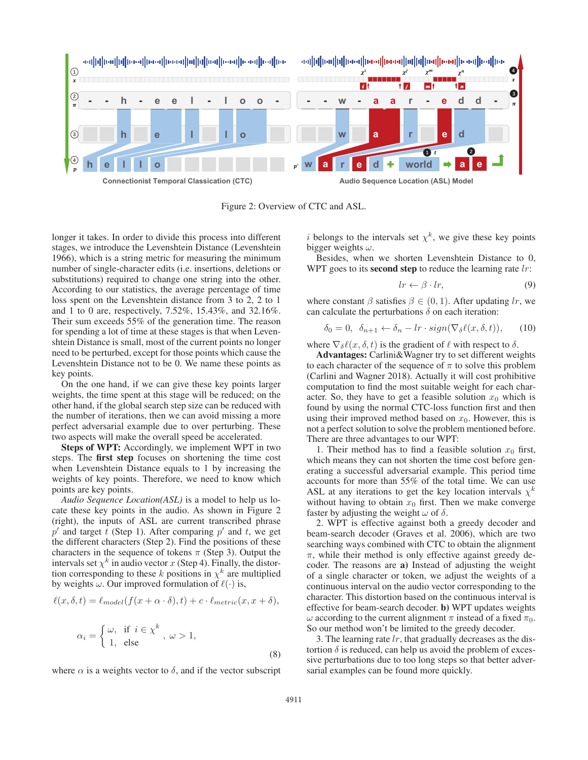

Figure 2: Overview of CTC and ASL.

longer it takes. In order to divide this process into different stages, we introduce the Levenshtein Distance (Levenshtein 1966), which is a string metric for measuring the minimum number of single-character edits (i.e. insertions, deletions or substitutions) required to change one string into the other. According to our statistics, the average percentage of time loss spent on the Levenshtein distance from 3 to 2, 2 to 1 and 1 to 0 are, respectively, 7.52%, 15.43%, and 32.16%. Their sum exceeds 55% of the generation time. The reason for spending a lot of time at these stages is that when Levenshtein Distance is small, most of the current points no longer need to be perturbed, except for those points which cause the Levenshtein Distance not to be 0. We name these points as key points.

On the one hand, if we can give these key points larger weights, the time spent at this stage will be reduced; on the other hand, if the global search step size can be reduced with the number of iterations, then we can avoid missing a more perfect adversarial example due to over perturbing. These two aspects will make the overall speed be accelerated.

Steps of WPT: Accordingly, we implement WPT in two steps. The first step focuses on shortening the time cost when Levenshtein Distance equals to 1 by increasing the weights of key points. Therefore, we need to know which points are key points.

*Audio Sequence Location(ASL)* is a model to help us locate these key points in the audio. As shown in Figure 2 (right), the inputs of ASL are current transcribed phrase  $p'$  and target t (Step 1). After comparing  $p'$  and t, we get the different characters (Step 2). Find the positions of these characters in the sequence of tokens  $\pi$  (Step 3). Output the intervals set  $\chi^k$  in audio vector x (Step 4). Finally, the distortion corresponding to these k positions in  $\chi^k$  are multiplied by weights  $\omega$ . Our improved formulation of  $\ell(\cdot)$  is,

$$
\ell(x,\delta,t) = \ell_{model}(f(x+\alpha\cdot\delta),t) + c\cdot\ell_{metric}(x,x+\delta),
$$

$$
\alpha_i = \begin{cases} \omega, & \text{if } i \in \chi^k \\ 1, & \text{else} \end{cases}, \quad \omega > 1,
$$
 (8)

where  $\alpha$  is a weights vector to  $\delta$ , and if the vector subscript

i belongs to the intervals set  $\chi^k$ , we give these key points bigger weights  $\omega$ .

Besides, when we shorten Levenshtein Distance to 0, WPT goes to its **second step** to reduce the learning rate  $lr$ :

$$
lr \leftarrow \beta \cdot lr,\tag{9}
$$

where constant  $\beta$  satisfies  $\beta \in (0, 1)$ . After updating lr, we can calculate the perturbations  $\delta$  on each iteration:

$$
\delta_0 = 0, \ \ \delta_{n+1} \leftarrow \delta_n - lr \cdot sign(\nabla_\delta \ell(x, \delta, t)), \tag{10}
$$

where  $\nabla_{\delta}\ell(x, \delta, t)$  is the gradient of  $\ell$  with respect to  $\delta$ .

Advantages: Carlini&Wagner try to set different weights to each character of the sequence of  $\pi$  to solve this problem (Carlini and Wagner 2018). Actually it will cost prohibitive computation to find the most suitable weight for each character. So, they have to get a feasible solution  $x_0$  which is found by using the normal CTC-loss function first and then using their improved method based on  $x_0$ . However, this is not a perfect solution to solve the problem mentioned before. There are three advantages to our WPT:

1. Their method has to find a feasible solution  $x_0$  first, which means they can not shorten the time cost before generating a successful adversarial example. This period time accounts for more than 55% of the total time. We can use ASL at any iterations to get the key location intervals  $\chi^k$ without having to obtain  $x_0$  first. Then we make converge faster by adjusting the weight  $\omega$  of  $\delta$ .

2. WPT is effective against both a greedy decoder and beam-search decoder (Graves et al. 2006), which are two searching ways combined with CTC to obtain the alignment  $\pi$ , while their method is only effective against greedy decoder. The reasons are a) Instead of adjusting the weight of a single character or token, we adjust the weights of a continuous interval on the audio vector corresponding to the character. This distortion based on the continuous interval is effective for beam-search decoder. b) WPT updates weights ω according to the current alignment π instead of a fixed  $π_0$ . So our method won't be limited to the greedy decoder.

3. The learning rate  $lr$ , that gradually decreases as the distortion  $\delta$  is reduced, can help us avoid the problem of excessive perturbations due to too long steps so that better adversarial examples can be found more quickly.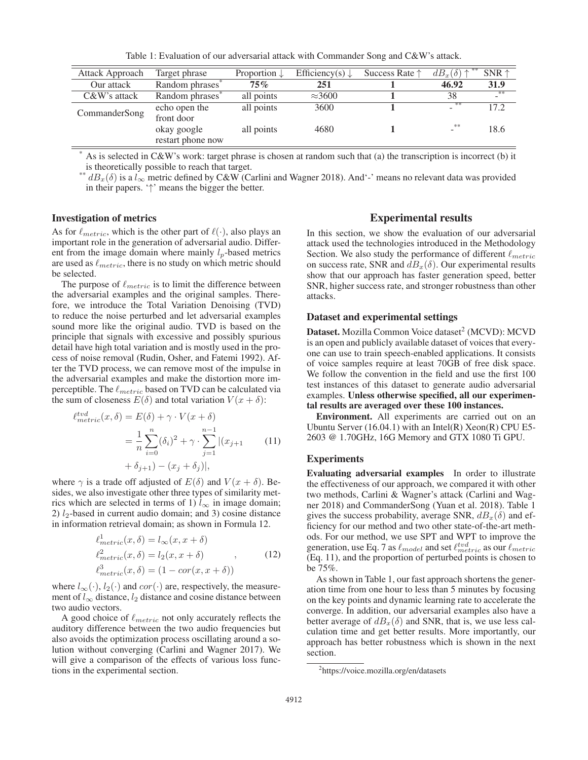| Attack Approach | Target phrase                    | Proportion $\downarrow$ | Efficiency(s) $\downarrow$ | Success Rate $\uparrow$ | $dB_x(\delta)$ $\uparrow$ | $SNR \uparrow$ |
|-----------------|----------------------------------|-------------------------|----------------------------|-------------------------|---------------------------|----------------|
| Our attack      | Random phrases <sup>*</sup>      | $75\%$                  | 251                        |                         | 46.92                     | 31.9           |
| $C&W$ 's attack | Random phrases <sup>*</sup>      | all points              | $\approx$ 3600             |                         | 38                        | ्क≉<br>−       |
| CommanderSong   | echo open the<br>front door      | all points              | 3600                       |                         | **                        | 17.2           |
|                 | okay google<br>restart phone now | all points              | 4680                       |                         | **<br>$\sim$              | 18.6           |

Table 1: Evaluation of our adversarial attack with Commander Song and C&W's attack.

As is selected in C&W's work: target phrase is chosen at random such that (a) the transcription is incorrect (b) it is theoretically possible to reach that target.

<sup>\*\*</sup>  $dB_x(\delta)$  is a  $l_{\infty}$  metric defined by C&W (Carlini and Wagner 2018). And'-' means no relevant data was provided in their papers. '↑' means the bigger the better.

## Investigation of metrics

As for  $\ell_{metric}$ , which is the other part of  $\ell(\cdot)$ , also plays an important role in the generation of adversarial audio. Different from the image domain where mainly  $l_p$ -based metrics are used as  $\ell_{metric}$ , there is no study on which metric should be selected.

The purpose of  $\ell_{metric}$  is to limit the difference between the adversarial examples and the original samples. Therefore, we introduce the Total Variation Denoising (TVD) to reduce the noise perturbed and let adversarial examples sound more like the original audio. TVD is based on the principle that signals with excessive and possibly spurious detail have high total variation and is mostly used in the process of noise removal (Rudin, Osher, and Fatemi 1992). After the TVD process, we can remove most of the impulse in the adversarial examples and make the distortion more imperceptible. The  $\ell_{metric}$  based on TVD can be calculated via the sum of closeness  $E(\delta)$  and total variation  $V(x + \delta)$ :

$$
\ell_{metric}^{tvd}(x,\delta) = E(\delta) + \gamma \cdot V(x+\delta)
$$

$$
= \frac{1}{n} \sum_{i=0}^{n} (\delta_i)^2 + \gamma \cdot \sum_{j=1}^{n-1} |(x_{j+1} \quad (11)
$$

$$
+ \delta_{j+1}) - (x_j + \delta_j)|,
$$

where  $\gamma$  is a trade off adjusted of  $E(\delta)$  and  $V(x + \delta)$ . Besides, we also investigate other three types of similarity metrics which are selected in terms of 1)  $l_{\infty}$  in image domain; 2)  $l_2$ -based in current audio domain; and 3) cosine distance in information retrieval domain; as shown in Formula 12.

$$
\ell_{metric}^1(x,\delta) = l_{\infty}(x, x + \delta)
$$
  
\n
$$
\ell_{metric}^2(x,\delta) = l_2(x, x + \delta)
$$
  
\n
$$
\ell_{metric}^3(x,\delta) = (1 - \text{cor}(x, x + \delta))
$$
\n(12)

where  $l_{\infty}(\cdot)$ ,  $l_2(\cdot)$  and  $cor(\cdot)$  are, respectively, the measurement of  $l_{\infty}$  distance,  $l_2$  distance and cosine distance between two audio vectors.

A good choice of  $\ell_{metric}$  not only accurately reflects the auditory difference between the two audio frequencies but also avoids the optimization process oscillating around a solution without converging (Carlini and Wagner 2017). We will give a comparison of the effects of various loss functions in the experimental section.

# Experimental results

In this section, we show the evaluation of our adversarial attack used the technologies introduced in the Methodology Section. We also study the performance of different  $\ell_{metric}$ on success rate, SNR and  $dB_x(\delta)$ . Our experimental results show that our approach has faster generation speed, better SNR, higher success rate, and stronger robustness than other attacks.

#### Dataset and experimental settings

Dataset. Mozilla Common Voice dataset<sup>2</sup> (MCVD): MCVD is an open and publicly available dataset of voices that everyone can use to train speech-enabled applications. It consists of voice samples require at least 70GB of free disk space. We follow the convention in the field and use the first 100 test instances of this dataset to generate audio adversarial examples. Unless otherwise specified, all our experimental results are averaged over these 100 instances.

Environment. All experiments are carried out on an Ubuntu Server  $(16.04.1)$  with an Intel $(R)$  Xeon $(R)$  CPU E5-2603 @ 1.70GHz, 16G Memory and GTX 1080 Ti GPU.

#### Experiments

Evaluating adversarial examples In order to illustrate the effectiveness of our approach, we compared it with other two methods, Carlini & Wagner's attack (Carlini and Wagner 2018) and CommanderSong (Yuan et al. 2018). Table 1 gives the success probability, average SNR,  $dB_x(\delta)$  and efficiency for our method and two other state-of-the-art methods. For our method, we use SPT and WPT to improve the generation, use Eq. 7 as  $\ell_{model}$  and set  $\ell_{metric}^{tvd}$  as our  $\ell_{metric}$ (Eq. 11), and the proportion of perturbed points is chosen to be 75%.

As shown in Table 1, our fast approach shortens the generation time from one hour to less than 5 minutes by focusing on the key points and dynamic learning rate to accelerate the converge. In addition, our adversarial examples also have a better average of  $dB_x(\delta)$  and SNR, that is, we use less calculation time and get better results. More importantly, our approach has better robustness which is shown in the next section.

<sup>2</sup> https://voice.mozilla.org/en/datasets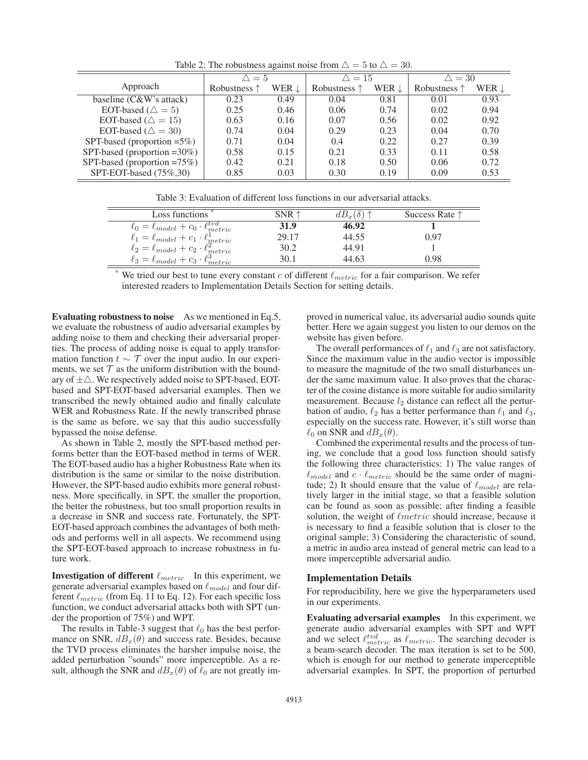Table 2: The robustness against noise from  $\triangle = 5$  to  $\triangle = 30$ .

|                                 | $\triangle = 5$       |       | $\triangle = 15$      |       | $\triangle = 30$      |              |
|---------------------------------|-----------------------|-------|-----------------------|-------|-----------------------|--------------|
| Approach                        | Robustness $\uparrow$ | WER L | Robustness $\uparrow$ | WER ! | Robustness $\uparrow$ | WER <b>L</b> |
| baseline (C&W's attack)         | 0.23                  | 0.49  | 0.04                  | 0.81  | 0.01                  | 0.93         |
| EOT-based ( $\triangle = 5$ )   | 0.25                  | 0.46  | 0.06                  | 0.74  | 0.02                  | 0.94         |
| EOT-based ( $\triangle = 15$ )  | 0.63                  | 0.16  | 0.07                  | 0.56  | 0.02                  | 0.92         |
| EOT-based ( $\triangle = 30$ )  | 0.74                  | 0.04  | 0.29                  | 0.23  | 0.04                  | 0.70         |
| SPT-based (proportion $=5\%$ )  | 0.71                  | 0.04  | 0.4                   | 0.22  | 0.27                  | 0.39         |
| SPT-based (proportion $=30\%$ ) | 0.58                  | 0.15  | 0.21                  | 0.33  | 0.11                  | 0.58         |
| SPT-based (proportion $=75\%$ ) | 0.42                  | 0.21  | 0.18                  | 0.50  | 0.06                  | 0.72         |
| SPT-EOT-based $(75\%, 30)$      | 0.85                  | 0.03  | 0.30                  | 0.19  | 0.09                  | 0.53         |

| Table 3: Evaluation of different loss functions in our adversarial attacks. |  |
|-----------------------------------------------------------------------------|--|
|-----------------------------------------------------------------------------|--|

| Loss functions                                                                                                                                                                                                         | $SNR \uparrow$ | $dB_x(\delta) \uparrow$ | Success Rate $\uparrow$ |
|------------------------------------------------------------------------------------------------------------------------------------------------------------------------------------------------------------------------|----------------|-------------------------|-------------------------|
| $\ell_0 = \ell_{model} + c_0 \cdot \ell_{metric}^{tvd}$                                                                                                                                                                | 31.9           | 46.92                   |                         |
|                                                                                                                                                                                                                        | 29.17          | 44.55                   | 0.97                    |
|                                                                                                                                                                                                                        | 30.2           | 44.91                   |                         |
| $\begin{array}{l} \ell_1 = \ell_{model} + c_1 \cdot \ell_{metric}^{\text{fl}}\\ \ell_2 = \ell_{model} + c_2 \cdot \ell_{metric}^{\text{2}}\\ \ell_3 = \ell_{model} + c_3 \cdot \ell_{metric}^{\text{3}}\\ \end{array}$ | 30.1           | 44 63                   | N 98                    |
| $-1$                                                                                                                                                                                                                   |                |                         |                         |

We tried our best to tune every constant c of different  $\ell_{metric}$  for a fair comparison. We refer interested readers to Implementation Details Section for setting details.

Evaluating robustness to noise As we mentioned in Eq.5, we evaluate the robustness of audio adversarial examples by adding noise to them and checking their adversarial properties. The process of adding noise is equal to apply transformation function  $t \sim \mathcal{T}$  over the input audio. In our experiments, we set  $\mathcal T$  as the uniform distribution with the boundary of  $\pm \triangle$ . We respectively added noise to SPT-based, EOTbased and SPT-EOT-based adversarial examples. Then we transcribed the newly obtained audio and finally calculate WER and Robustness Rate. If the newly transcribed phrase is the same as before, we say that this audio successfully bypassed the noise defense.

As shown in Table 2, mostly the SPT-based method performs better than the EOT-based method in terms of WER. The EOT-based audio has a higher Robustness Rate when its distribution is the same or similar to the noise distribution. However, the SPT-based audio exhibits more general robustness. More specifically, in SPT, the smaller the proportion, the better the robustness, but too small proportion results in a decrease in SNR and success rate. Fortunately, the SPT-EOT-based approach combines the advantages of both methods and performs well in all aspects. We recommend using the SPT-EOT-based approach to increase robustness in future work.

**Investigation of different**  $\ell_{metric}$  In this experiment, we generate adversarial examples based on  $\ell_{model}$  and four different  $\ell_{metric}$  (from Eq. 11 to Eq. 12). For each specific loss function, we conduct adversarial attacks both with SPT (under the proportion of 75%) and WPT.

The results in Table-3 suggest that  $\ell_0$  has the best performance on SNR,  $dB_x(\theta)$  and success rate. Besides, because the TVD process eliminates the harsher impulse noise, the added perturbation "sounds" more imperceptible. As a result, although the SNR and  $dB_x(\theta)$  of  $\ell_0$  are not greatly improved in numerical value, its adversarial audio sounds quite better. Here we again suggest you listen to our demos on the website has given before.

The overall performances of  $\ell_1$  and  $\ell_3$  are not satisfactory. Since the maximum value in the audio vector is impossible to measure the magnitude of the two small disturbances under the same maximum value. It also proves that the character of the cosine distance is more suitable for audio similarity measurement. Because  $l_2$  distance can reflect all the perturbation of audio,  $\ell_2$  has a better performance than  $\ell_1$  and  $\ell_3$ , especially on the success rate. However, it's still worse than  $\ell_0$  on SNR and  $dB_x(\theta)$ .

Combined the experimental results and the process of tuning, we conclude that a good loss function should satisfy the following three characteristics: 1) The value ranges of  $\ell_{model}$  and  $c \cdot \ell_{metric}$  should be the same order of magnitude; 2) It should ensure that the value of  $\ell_{model}$  are relatively larger in the initial stage, so that a feasible solution can be found as soon as possible; after finding a feasible solution, the weight of  $\ell$ *metric* should increase, because it is necessary to find a feasible solution that is closer to the original sample; 3) Considering the characteristic of sound, a metric in audio area instead of general metric can lead to a more imperceptible adversarial audio.

#### Implementation Details

For reproducibility, here we give the hyperparameters used in our experiments.

Evaluating adversarial examples In this experiment, we generate audio adversarial examples with SPT and WPT and we select  $\ell_{metric}^{tvd}$  as  $\ell_{metric}$ . The searching decoder is a beam-search decoder. The max iteration is set to be 500, which is enough for our method to generate imperceptible adversarial examples. In SPT, the proportion of perturbed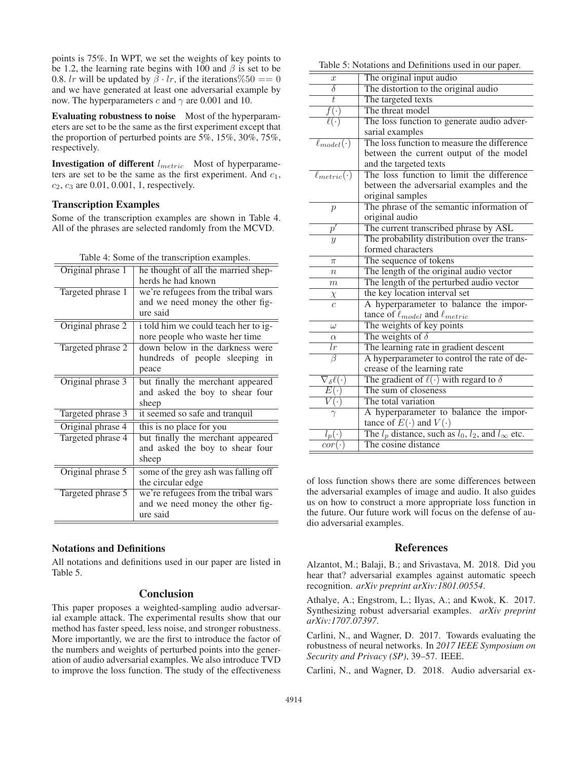points is 75%. In WPT, we set the weights of key points to be 1.2, the learning rate begins with 100 and  $\beta$  is set to be 0.8. lr will be updated by  $\beta \cdot lr$ , if the iterations %50 = = 0 and we have generated at least one adversarial example by now. The hyperparameters c and  $\gamma$  are 0.001 and 10.

Evaluating robustness to noise Most of the hyperparameters are set to be the same as the first experiment except that the proportion of perturbed points are  $5\%, 15\%, 30\%, 75\%,$ respectively.

**Investigation of different**  $l_{metric}$  Most of hyperparameters are set to be the same as the first experiment. And  $c_1$ ,  $c_2, c_3$  are 0.01, 0.001, 1, respectively.

# Transcription Examples

Some of the transcription examples are shown in Table 4. All of the phrases are selected randomly from the MCVD.

| Table 4: Some of the transcription examples. |  |  |  |
|----------------------------------------------|--|--|--|
|----------------------------------------------|--|--|--|

| Original phrase 1 | he thought of all the married shep-<br>herds he had known                           |
|-------------------|-------------------------------------------------------------------------------------|
| Targeted phrase 1 | we're refugees from the tribal wars<br>and we need money the other fig-<br>ure said |
| Original phrase 2 | i told him we could teach her to ig-<br>nore people who waste her time              |
| Targeted phrase 2 | down below in the darkness were<br>hundreds of people sleeping in<br>peace          |
| Original phrase 3 | but finally the merchant appeared<br>and asked the boy to shear four<br>sheep       |
| Targeted phrase 3 | it seemed so safe and tranquil                                                      |
| Original phrase 4 | this is no place for you                                                            |
| Targeted phrase 4 | but finally the merchant appeared<br>and asked the boy to shear four<br>sheep       |
| Original phrase 5 | some of the grey ash was falling off<br>the circular edge                           |
| Targeted phrase 5 | we're refugees from the tribal wars<br>and we need money the other fig-<br>ure said |

# Notations and Definitions

All notations and definitions used in our paper are listed in Table 5.

# **Conclusion**

This paper proposes a weighted-sampling audio adversarial example attack. The experimental results show that our method has faster speed, less noise, and stronger robustness. More importantly, we are the first to introduce the factor of the numbers and weights of perturbed points into the generation of audio adversarial examples. We also introduce TVD to improve the loss function. The study of the effectiveness

| Table 5: Notations and Definitions used in our paper. |  |
|-------------------------------------------------------|--|
|-------------------------------------------------------|--|

| $\boldsymbol{x}$              | The original input audio                                          |
|-------------------------------|-------------------------------------------------------------------|
| δ                             | The distortion to the original audio                              |
| t                             | The targeted texts                                                |
|                               | The threat model                                                  |
|                               | The loss function to generate audio adver-                        |
|                               | sarial examples                                                   |
| $\ell_{model}(\cdot)$         | The loss function to measure the difference                       |
|                               | between the current output of the model                           |
|                               | and the targeted texts                                            |
| $\ell_{metric}(\cdot)$        | The loss function to limit the difference                         |
|                               | between the adversarial examples and the                          |
|                               | original samples                                                  |
| $\mathcal{p}$                 | The phrase of the semantic information of                         |
|                               | original audio                                                    |
| $p^{\prime}$                  | The current transcribed phrase by ASL                             |
| $\overline{y}$                | The probability distribution over the trans-                      |
|                               | formed characters                                                 |
| $\pi$                         | The sequence of tokens                                            |
| $\eta$                        | The length of the original audio vector                           |
| $m\,$                         | The length of the perturbed audio vector                          |
| $\chi$                        | the key location interval set                                     |
|                               | A hyperparameter to balance the impor-                            |
|                               | tance of $\ell_{model}$ and $\ell_{metric}$                       |
| $\omega$                      | The weights of key points                                         |
| $\alpha$                      | The weights of $\delta$                                           |
| lr                            | The learning rate in gradient descent                             |
| $\overline{\beta}$            | A hyperparameter to control the rate of de-                       |
|                               | crease of the learning rate                                       |
| $\nabla_{\delta} \ell(\cdot)$ | The gradient of $\ell(\cdot)$ with regard to $\delta$             |
| $E(\cdot)$                    | The sum of closeness                                              |
| $V(\cdot)$                    | The total variation                                               |
| $\gamma$                      | A hyperparameter to balance the impor-                            |
|                               | tance of $E(\cdot)$ and $V(\cdot)$                                |
| $l_p(\cdot)$                  | The $l_p$ distance, such as $l_0$ , $l_2$ , and $l_{\infty}$ etc. |
| $cor(\cdot)$                  | The cosine distance                                               |
|                               |                                                                   |

of loss function shows there are some differences between the adversarial examples of image and audio. It also guides us on how to construct a more appropriate loss function in the future. Our future work will focus on the defense of audio adversarial examples.

# References

Alzantot, M.; Balaji, B.; and Srivastava, M. 2018. Did you hear that? adversarial examples against automatic speech recognition. *arXiv preprint arXiv:1801.00554*.

Athalye, A.; Engstrom, L.; Ilyas, A.; and Kwok, K. 2017. Synthesizing robust adversarial examples. *arXiv preprint arXiv:1707.07397*.

Carlini, N., and Wagner, D. 2017. Towards evaluating the robustness of neural networks. In *2017 IEEE Symposium on Security and Privacy (SP)*, 39–57. IEEE.

Carlini, N., and Wagner, D. 2018. Audio adversarial ex-